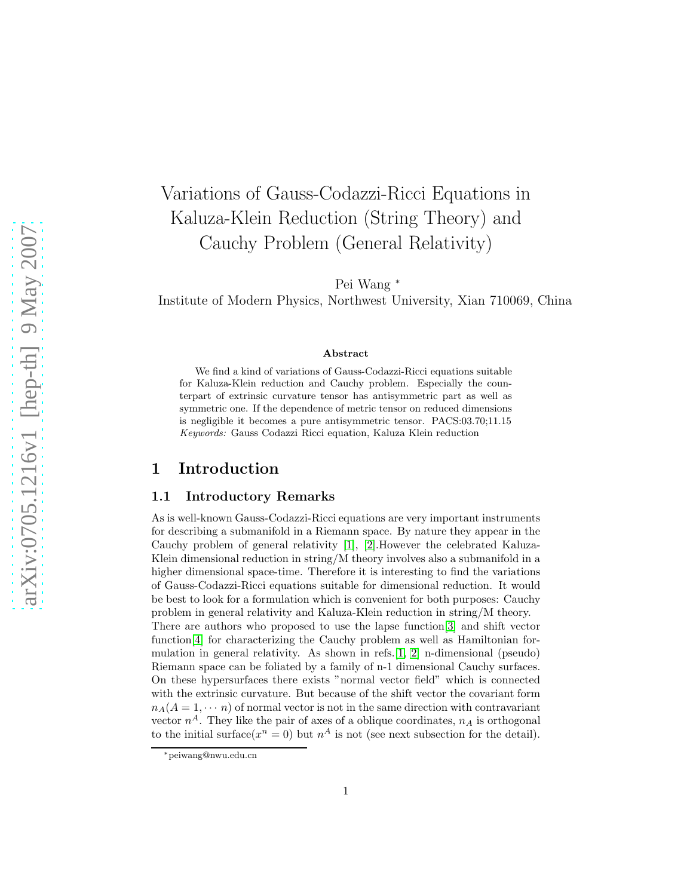# Variations of Gauss-Codazzi-Ricci Equations in Kaluza-Klein Reduction (String Theory) and Cauchy Problem (General Relativity)

Pei Wang <sup>∗</sup>

Institute of Modern Physics, Northwest University, Xian 710069, China

#### Abstract

We find a kind of variations of Gauss-Codazzi-Ricci equations suitable for Kaluza-Klein reduction and Cauchy problem. Especially the counterpart of extrinsic curvature tensor has antisymmetric part as well as symmetric one. If the dependence of metric tensor on reduced dimensions is negligible it becomes a pure antisymmetric tensor. PACS:03.70;11.15 Keywords: Gauss Codazzi Ricci equation, Kaluza Klein reduction

## 1 Introduction

#### 1.1 Introductory Remarks

As is well-known Gauss-Codazzi-Ricci equations are very important instruments for describing a submanifold in a Riemann space. By nature they appear in the Cauchy problem of general relativity [\[1\]](#page-16-0), [\[2\]](#page-16-1).However the celebrated Kaluza-Klein dimensional reduction in string/M theory involves also a submanifold in a higher dimensional space-time. Therefore it is interesting to find the variations of Gauss-Codazzi-Ricci equations suitable for dimensional reduction. It would be best to look for a formulation which is convenient for both purposes: Cauchy problem in general relativity and Kaluza-Klein reduction in string/M theory. There are authors who proposed to use the lapse function[\[3\]](#page-16-2) and shift vector function[\[4\]](#page-16-3) for characterizing the Cauchy problem as well as Hamiltonian formulation in general relativity. As shown in refs.  $[1, 2]$  $[1, 2]$  n-dimensional (pseudo) Riemann space can be foliated by a family of n-1 dimensional Cauchy surfaces. On these hypersurfaces there exists "normal vector field" which is connected with the extrinsic curvature. But because of the shift vector the covariant form  $n_A(A = 1, \dots, n)$  of normal vector is not in the same direction with contravariant vector  $n^A$ . They like the pair of axes of a oblique coordinates,  $n_A$  is orthogonal to the initial surface( $x^n = 0$ ) but  $n^A$  is not (see next subsection for the detail).

<sup>∗</sup>peiwang@nwu.edu.cn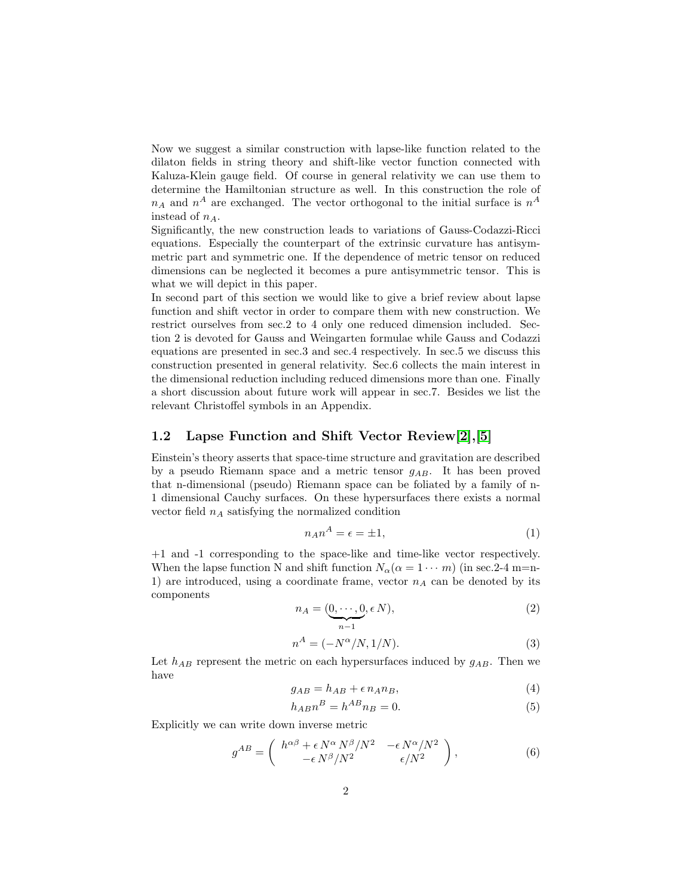Now we suggest a similar construction with lapse-like function related to the dilaton fields in string theory and shift-like vector function connected with Kaluza-Klein gauge field. Of course in general relativity we can use them to determine the Hamiltonian structure as well. In this construction the role of  $n_A$  and  $n^A$  are exchanged. The vector orthogonal to the initial surface is  $n^A$ instead of  $n_A$ .

Significantly, the new construction leads to variations of Gauss-Codazzi-Ricci equations. Especially the counterpart of the extrinsic curvature has antisymmetric part and symmetric one. If the dependence of metric tensor on reduced dimensions can be neglected it becomes a pure antisymmetric tensor. This is what we will depict in this paper.

In second part of this section we would like to give a brief review about lapse function and shift vector in order to compare them with new construction. We restrict ourselves from sec.2 to 4 only one reduced dimension included. Section 2 is devoted for Gauss and Weingarten formulae while Gauss and Codazzi equations are presented in sec.3 and sec.4 respectively. In sec.5 we discuss this construction presented in general relativity. Sec.6 collects the main interest in the dimensional reduction including reduced dimensions more than one. Finally a short discussion about future work will appear in sec.7. Besides we list the relevant Christoffel symbols in an Appendix.

### 1.2 Lapse Function and Shift Vector Review[\[2\]](#page-16-1),[\[5\]](#page-16-4)

Einstein's theory asserts that space-time structure and gravitation are described by a pseudo Riemann space and a metric tensor  $g_{AB}$ . It has been proved that n-dimensional (pseudo) Riemann space can be foliated by a family of n-1 dimensional Cauchy surfaces. On these hypersurfaces there exists a normal vector field  $n_A$  satisfying the normalized condition

$$
n_A n^A = \epsilon = \pm 1,\tag{1}
$$

+1 and -1 corresponding to the space-like and time-like vector respectively. When the lapse function N and shift function  $N_{\alpha}(\alpha = 1 \cdots m)$  (in sec. 2-4 m=n-1) are introduced, using a coordinate frame, vector  $n_A$  can be denoted by its components

$$
n_A = (\underbrace{0, \cdots, 0}_{n-1}, \epsilon N), \tag{2}
$$

$$
n^A = (-N^{\alpha}/N, 1/N). \tag{3}
$$

Let  $h_{AB}$  represent the metric on each hypersurfaces induced by  $g_{AB}$ . Then we have

$$
g_{AB} = h_{AB} + \epsilon n_A n_B, \tag{4}
$$

$$
h_{AB}n^B = h^{AB}n_B = 0.\t\t(5)
$$

Explicitly we can write down inverse metric

$$
g^{AB} = \begin{pmatrix} h^{\alpha\beta} + \epsilon N^{\alpha} N^{\beta} / N^2 & -\epsilon N^{\alpha} / N^2 \\ -\epsilon N^{\beta} / N^2 & \epsilon / N^2 \end{pmatrix},
$$
 (6)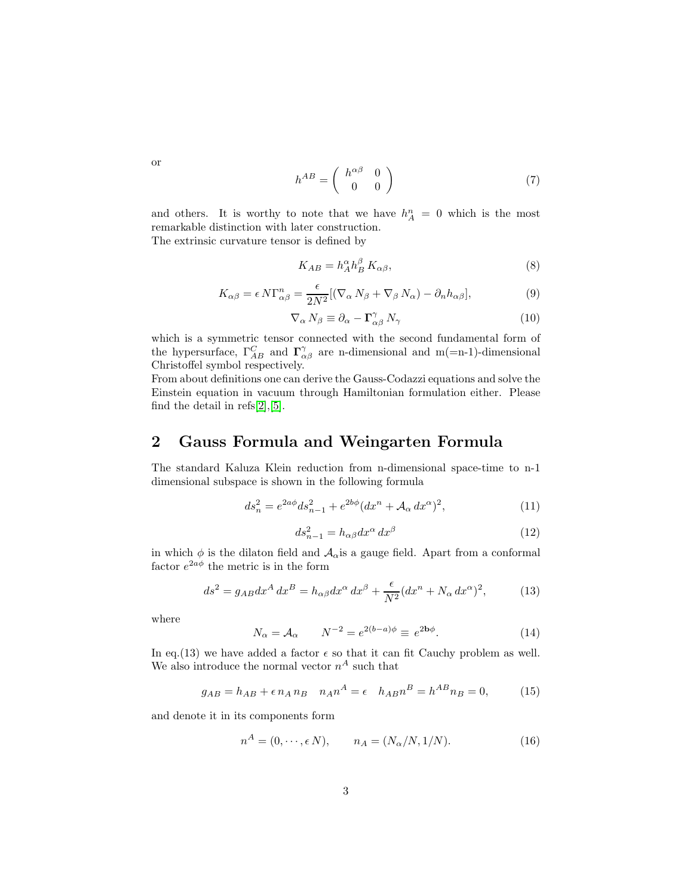$$
h^{AB} = \begin{pmatrix} h^{\alpha\beta} & 0\\ 0 & 0 \end{pmatrix} \tag{7}
$$

and others. It is worthy to note that we have  $h_A^n = 0$  which is the most remarkable distinction with later construction. The extrinsic curvature tensor is defined by

$$
K_{AB} = h_A^{\alpha} h_B^{\beta} K_{\alpha\beta},\tag{8}
$$

$$
K_{\alpha\beta} = \epsilon \, N \Gamma_{\alpha\beta}^n = \frac{\epsilon}{2N^2} [(\nabla_\alpha \, N_\beta + \nabla_\beta \, N_\alpha) - \partial_n h_{\alpha\beta}],\tag{9}
$$

$$
\nabla_{\alpha} N_{\beta} \equiv \partial_{\alpha} - \Gamma^{\gamma}_{\alpha\beta} N_{\gamma} \tag{10}
$$

which is a symmetric tensor connected with the second fundamental form of the hypersurface,  $\Gamma_{AB}^C$  and  $\Gamma_{\alpha\beta}^{\gamma}$  are n-dimensional and m(=n-1)-dimensional Christoffel symbol respectively.

From about definitions one can derive the Gauss-Codazzi equations and solve the Einstein equation in vacuum through Hamiltonian formulation either. Please find the detail in refs[\[2\]](#page-16-1),[\[5\]](#page-16-4).

## 2 Gauss Formula and Weingarten Formula

The standard Kaluza Klein reduction from n-dimensional space-time to n-1 dimensional subspace is shown in the following formula

$$
ds_n^2 = e^{2a\phi} ds_{n-1}^2 + e^{2b\phi} (dx^n + A_\alpha dx^\alpha)^2,
$$
\n(11)

$$
ds_{n-1}^2 = h_{\alpha\beta} dx^{\alpha} dx^{\beta} \tag{12}
$$

in which  $\phi$  is the dilaton field and  $A_{\alpha}$  is a gauge field. Apart from a conformal factor  $e^{2a\phi}$  the metric is in the form

$$
ds^2 = g_{AB}dx^A dx^B = h_{\alpha\beta}dx^{\alpha} dx^{\beta} + \frac{\epsilon}{N^2}(dx^n + N_{\alpha} dx^{\alpha})^2, \qquad (13)
$$

where

$$
N_{\alpha} = \mathcal{A}_{\alpha} \qquad N^{-2} = e^{2(b-a)\phi} \equiv e^{2\mathbf{b}\phi}.
$$
 (14)

In eq.(13) we have added a factor  $\epsilon$  so that it can fit Cauchy problem as well. We also introduce the normal vector  $n^A$  such that

$$
g_{AB} = h_{AB} + \epsilon n_A n_B \quad n_A n^A = \epsilon \quad h_{AB} n^B = h^{AB} n_B = 0,\tag{15}
$$

and denote it in its components form

$$
nA = (0, \cdots, \epsilon N), \qquad n_A = (N_\alpha/N, 1/N). \tag{16}
$$

or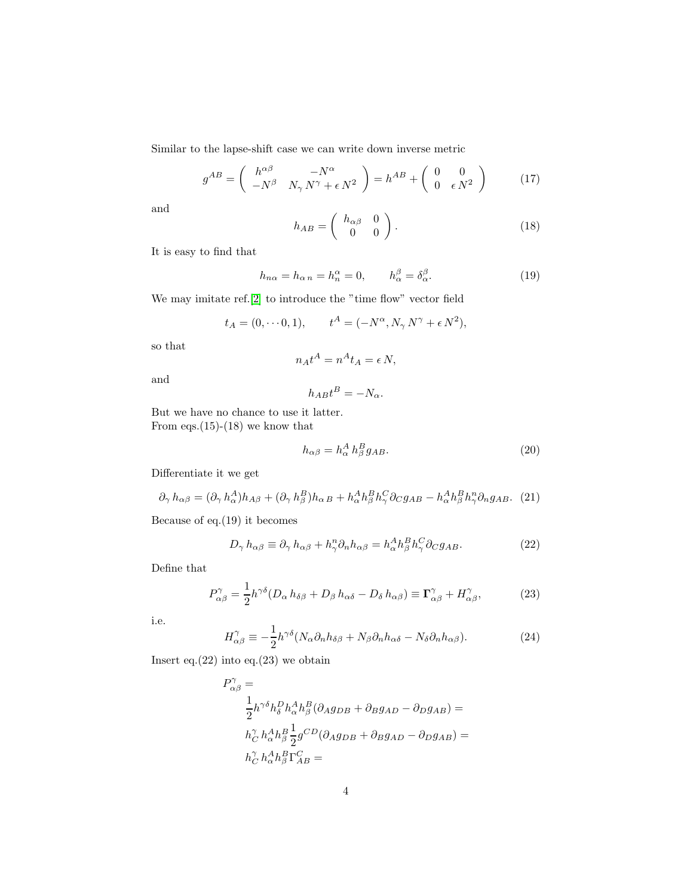Similar to the lapse-shift case we can write down inverse metric

$$
g^{AB} = \begin{pmatrix} h^{\alpha\beta} & -N^{\alpha} \\ -N^{\beta} & N_{\gamma}N^{\gamma} + \epsilon N^2 \end{pmatrix} = h^{AB} + \begin{pmatrix} 0 & 0 \\ 0 & \epsilon N^2 \end{pmatrix}
$$
 (17)

and

$$
h_{AB} = \begin{pmatrix} h_{\alpha\beta} & 0\\ 0 & 0 \end{pmatrix}.
$$
 (18)

It is easy to find that

$$
h_{n\alpha} = h_{\alpha n} = h_n^{\alpha} = 0, \qquad h_{\alpha}^{\beta} = \delta_{\alpha}^{\beta}.
$$
 (19)

We may imitate ref.[\[2\]](#page-16-1) to introduce the "time flow" vector field

$$
t_A = (0, \dots 0, 1),
$$
  $t^A = (-N^\alpha, N_\gamma N^\gamma + \epsilon N^2),$ 

so that

$$
n_A t^A = n^A t_A = \epsilon N,
$$

and

$$
h_{AB}t^B = -N_{\alpha}.
$$

But we have no chance to use it latter. From eqs.(15)-(18) we know that

$$
h_{\alpha\beta} = h_{\alpha}^A h_{\beta}^B g_{AB}.
$$
\n(20)

Differentiate it we get

$$
\partial_{\gamma} h_{\alpha\beta} = (\partial_{\gamma} h_{\alpha}^A) h_{A\beta} + (\partial_{\gamma} h_{\beta}^B) h_{\alpha B} + h_{\alpha}^A h_{\beta}^B h_{\gamma}^C \partial_C g_{AB} - h_{\alpha}^A h_{\beta}^B h_{\gamma}^B \partial_n g_{AB}.
$$
 (21)

Because of eq.(19) it becomes

$$
D_{\gamma} h_{\alpha\beta} \equiv \partial_{\gamma} h_{\alpha\beta} + h_{\gamma}^{n} \partial_{n} h_{\alpha\beta} = h_{\alpha}^{A} h_{\beta}^{B} h_{\gamma}^{C} \partial_{C} g_{AB}.
$$
 (22)

Define that

$$
P^{\gamma}_{\alpha\beta} = \frac{1}{2} h^{\gamma\delta} (D_{\alpha} h_{\delta\beta} + D_{\beta} h_{\alpha\delta} - D_{\delta} h_{\alpha\beta}) \equiv \Gamma^{\gamma}_{\alpha\beta} + H^{\gamma}_{\alpha\beta},\tag{23}
$$

i.e.

$$
H^{\gamma}_{\alpha\beta} \equiv -\frac{1}{2} h^{\gamma\delta} (N_{\alpha}\partial_n h_{\delta\beta} + N_{\beta}\partial_n h_{\alpha\delta} - N_{\delta}\partial_n h_{\alpha\beta}). \tag{24}
$$

Insert eq. $(22)$  into eq. $(23)$  we obtain

$$
\begin{split} P_{\alpha\beta}^{\gamma} &= \\ &\frac{1}{2}h^{\gamma\delta}h_{\delta}^{D}h_{\alpha}^{A}h_{\beta}^{B}(\partial_{A}g_{DB}+\partial_{B}g_{AD}-\partial_{D}g_{AB})= \\ &\quad h_{C}^{\gamma}h_{\alpha}^{A}h_{\beta}^{B}\frac{1}{2}g^{CD}(\partial_{A}g_{DB}+\partial_{B}g_{AD}-\partial_{D}g_{AB})= \\ &\quad h_{C}^{\gamma}h_{\alpha}^{A}h_{\beta}^{B}\Gamma_{AB}^{C}= \end{split}
$$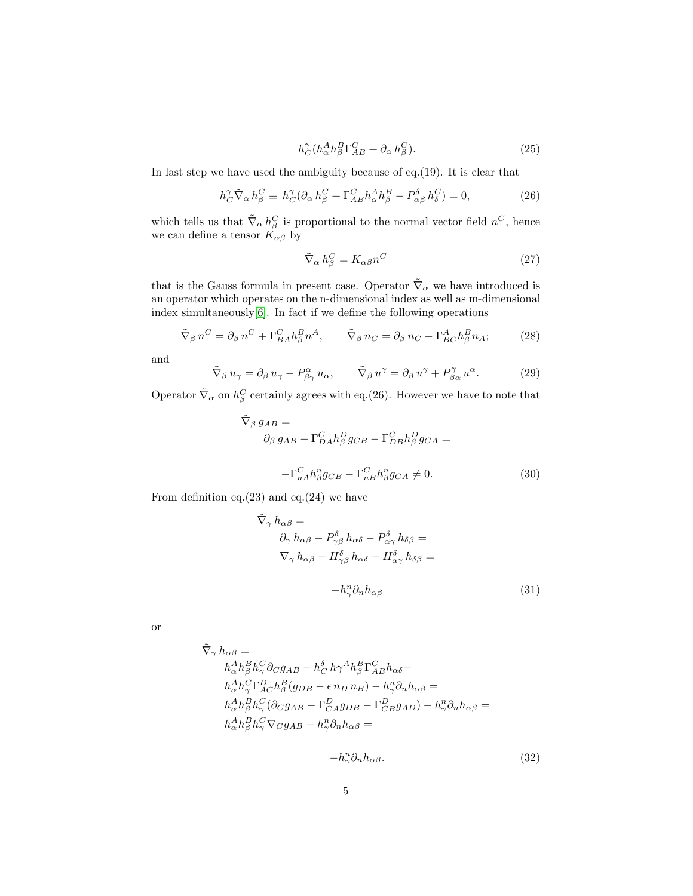$$
h_C^{\gamma} (h_{\alpha}^A h_{\beta}^B \Gamma_{AB}^C + \partial_{\alpha} h_{\beta}^C). \tag{25}
$$

In last step we have used the ambiguity because of eq.(19). It is clear that

$$
h_C^{\gamma} \tilde{\nabla}_{\alpha} h_{\beta}^C \equiv h_C^{\gamma} (\partial_{\alpha} h_{\beta}^C + \Gamma_{AB}^C h_{\alpha}^A h_{\beta}^B - P_{\alpha\beta}^{\delta} h_{\delta}^C) = 0, \tag{26}
$$

which tells us that  $\tilde{\nabla}_{\alpha} h_{\beta}^C$  is proportional to the normal vector field  $n^C$ , hence we can define a tensor  $K_{\alpha\beta}$  by

$$
\tilde{\nabla}_{\alpha} h_{\beta}^C = K_{\alpha\beta} n^C \tag{27}
$$

that is the Gauss formula in present case. Operator  $\tilde{\nabla}_{\alpha}$  we have introduced is an operator which operates on the n-dimensional index as well as m-dimensional index simultaneously[\[6\]](#page-16-5). In fact if we define the following operations

$$
\tilde{\nabla}_{\beta} n^C = \partial_{\beta} n^C + \Gamma_{BA}^C h_{\beta}^B n^A, \qquad \tilde{\nabla}_{\beta} n_C = \partial_{\beta} n_C - \Gamma_{BC}^A h_{\beta}^B n_A; \tag{28}
$$

and

$$
\tilde{\nabla}_{\beta} u_{\gamma} = \partial_{\beta} u_{\gamma} - P^{\alpha}_{\beta \gamma} u_{\alpha}, \qquad \tilde{\nabla}_{\beta} u^{\gamma} = \partial_{\beta} u^{\gamma} + P^{\gamma}_{\beta \alpha} u^{\alpha}.
$$
 (29)

Operator  $\tilde{\nabla}_{\alpha}$  on  $h^C_{\beta}$  certainly agrees with eq.(26). However we have to note that

$$
\tilde{\nabla}_{\beta} g_{AB} =
$$
\n
$$
\partial_{\beta} g_{AB} - \Gamma_{DA}^C h_{\beta}^D g_{CB} - \Gamma_{DB}^C h_{\beta}^D g_{CA} =
$$
\n
$$
-\Gamma_{nA}^C h_{\beta}^n g_{CB} - \Gamma_{nB}^C h_{\beta}^n g_{CA} \neq 0.
$$
\n(30)

From definition eq. $(23)$  and eq. $(24)$  we have

$$
\tilde{\nabla}_{\gamma} h_{\alpha\beta} =
$$
\n
$$
\partial_{\gamma} h_{\alpha\beta} - P^{\delta}_{\gamma\beta} h_{\alpha\delta} - P^{\delta}_{\alpha\gamma} h_{\delta\beta} =
$$
\n
$$
\nabla_{\gamma} h_{\alpha\beta} - H^{\delta}_{\gamma\beta} h_{\alpha\delta} - H^{\delta}_{\alpha\gamma} h_{\delta\beta} =
$$
\n
$$
-h_{\gamma}^{n} \partial_{n} h_{\alpha\beta} \tag{31}
$$

or

$$
\begin{aligned} \tilde{\nabla}_{\gamma}\,h_{\alpha\beta} &= \\ &\quad h_{\alpha}^A h_{\beta}^B h_{\gamma}^C \partial_C g_{AB} - h_C^{\delta}\,h \gamma^A h_{\beta}^B \Gamma_{AB}^C h_{\alpha\delta} - \\ &\quad h_{\alpha}^A h_{\gamma}^C \Gamma_{AC}^D h_{\beta}^B (g_{DB} - \epsilon\, n_D\, n_B) - h_{\gamma}^n \partial_n h_{\alpha\beta} = \\ &\quad h_{\alpha}^A h_{\beta}^B h_{\gamma}^C (\partial_C g_{AB} - \Gamma_{C A}^D g_{DB} - \Gamma_{CB}^D g_{AD}) - h_{\gamma}^n \partial_n h_{\alpha\beta} = \\ &\quad h_{\alpha}^A h_{\beta}^B h_{\gamma}^C \nabla_C g_{AB} - h_{\gamma}^n \partial_n h_{\alpha\beta} = \end{aligned}
$$

$$
-h_{\gamma}^n \partial_n h_{\alpha\beta}.\tag{32}
$$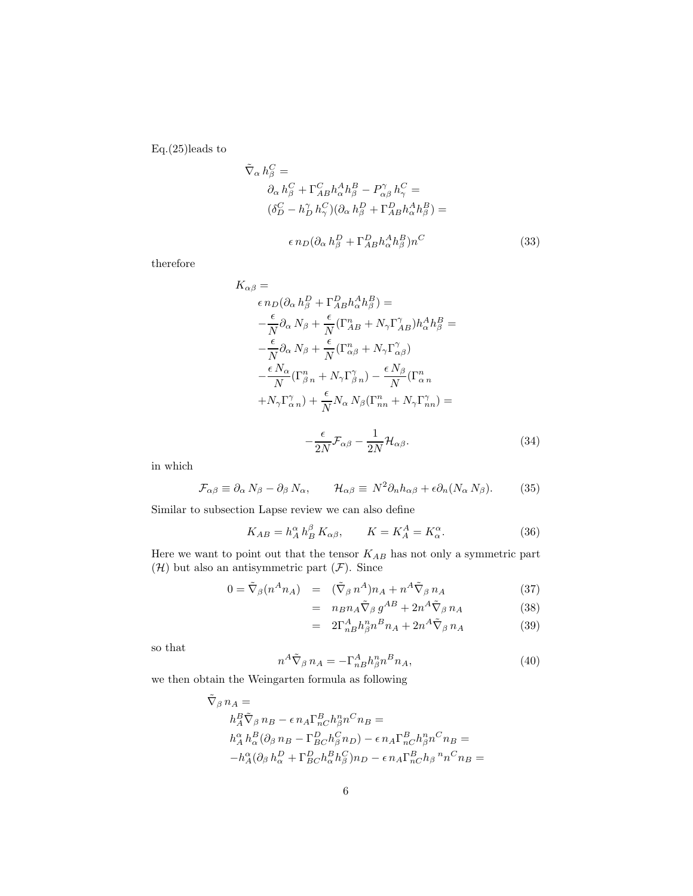Eq.(25)leads to

$$
\tilde{\nabla}_{\alpha} h_{\beta}^{C} =
$$
\n
$$
\partial_{\alpha} h_{\beta}^{C} + \Gamma_{AB}^{C} h_{\alpha}^{A} h_{\beta}^{B} - P_{\alpha\beta}^{\gamma} h_{\gamma}^{C} =
$$
\n
$$
(\delta_{D}^{C} - h_{D}^{\gamma} h_{\gamma}^{C})(\partial_{\alpha} h_{\beta}^{D} + \Gamma_{AB}^{D} h_{\alpha}^{A} h_{\beta}^{B}) =
$$
\n
$$
\epsilon n_{D} (\partial_{\alpha} h_{\beta}^{D} + \Gamma_{AB}^{D} h_{\alpha}^{A} h_{\beta}^{B}) n^{C}
$$
\n(33)

therefore

$$
K_{\alpha\beta} = \epsilon n_D(\partial_{\alpha} h_{\beta}^D + \Gamma_{AB}^D h_{\alpha}^A h_{\beta}^B) =
$$
  
\n
$$
- \frac{\epsilon}{N} \partial_{\alpha} N_{\beta} + \frac{\epsilon}{N} (\Gamma_{AB}^n + N_{\gamma} \Gamma_{AB}^{\gamma}) h_{\alpha}^A h_{\beta}^B =
$$
  
\n
$$
- \frac{\epsilon}{N} \partial_{\alpha} N_{\beta} + \frac{\epsilon}{N} (\Gamma_{\alpha\beta}^n + N_{\gamma} \Gamma_{\alpha\beta}^{\gamma})
$$
  
\n
$$
- \frac{\epsilon N_{\alpha}}{N} (\Gamma_{\beta}^n + N_{\gamma} \Gamma_{\beta}^{\gamma}) - \frac{\epsilon N_{\beta}}{N} (\Gamma_{\alpha}^n + N_{\gamma} \Gamma_{\alpha}^{\gamma}) =
$$
  
\n
$$
+ N_{\gamma} \Gamma_{\alpha}^{\gamma} n) + \frac{\epsilon}{N} N_{\alpha} N_{\beta} (\Gamma_{nn}^n + N_{\gamma} \Gamma_{nn}^{\gamma}) =
$$
  
\n
$$
- \frac{\epsilon}{2N} \mathcal{F}_{\alpha\beta} - \frac{1}{2N} \mathcal{H}_{\alpha\beta}.
$$
  
\n(34)

in which

$$
\mathcal{F}_{\alpha\beta} \equiv \partial_{\alpha} N_{\beta} - \partial_{\beta} N_{\alpha}, \qquad \mathcal{H}_{\alpha\beta} \equiv N^2 \partial_n h_{\alpha\beta} + \epsilon \partial_n (N_{\alpha} N_{\beta}). \tag{35}
$$

Similar to subsection Lapse review we can also define

$$
K_{AB} = h_A^{\alpha} h_B^{\beta} K_{\alpha\beta}, \qquad K = K_A^A = K_{\alpha}^{\alpha}.
$$
 (36)

Here we want to point out that the tensor  ${\cal K}_{AB}$  has not only a symmetric part  $(\mathcal{H})$  but also an antisymmetric part  $(\mathcal{F})$ . Since

$$
0 = \tilde{\nabla}_{\beta}(n^A n_A) = (\tilde{\nabla}_{\beta} n^A) n_A + n^A \tilde{\nabla}_{\beta} n_A \tag{37}
$$

$$
= n_B n_A \tilde{\nabla}_{\beta} g^{AB} + 2n^A \tilde{\nabla}_{\beta} n_A \tag{38}
$$

$$
= 2\Gamma^A_{nB}h^n_{\beta}n^Bn_A + 2n^A\tilde{\nabla}_{\beta}n_A \tag{39}
$$

so that

$$
n^A \tilde{\nabla}_{\beta} n_A = -\Gamma^A_{nB} h^n_{\beta} n^B n_A,\tag{40}
$$

we then obtain the Weingarten formula as following

$$
\tilde{\nabla}_{\beta} n_A =
$$
\n
$$
h_A^B \tilde{\nabla}_{\beta} n_B - \epsilon n_A \Gamma_{nC}^B h_{\beta}^n n^C n_B =
$$
\n
$$
h_A^{\alpha} h_{\alpha}^B (\partial_{\beta} n_B - \Gamma_{BC}^D h_{\beta}^C n_D) - \epsilon n_A \Gamma_{nC}^B h_{\beta}^n n^C n_B =
$$
\n
$$
-h_A^{\alpha} (\partial_{\beta} h_{\alpha}^D + \Gamma_{BC}^D h_{\alpha}^B h_{\beta}^C) n_D - \epsilon n_A \Gamma_{nC}^B h_{\beta}^m n^C n_B =
$$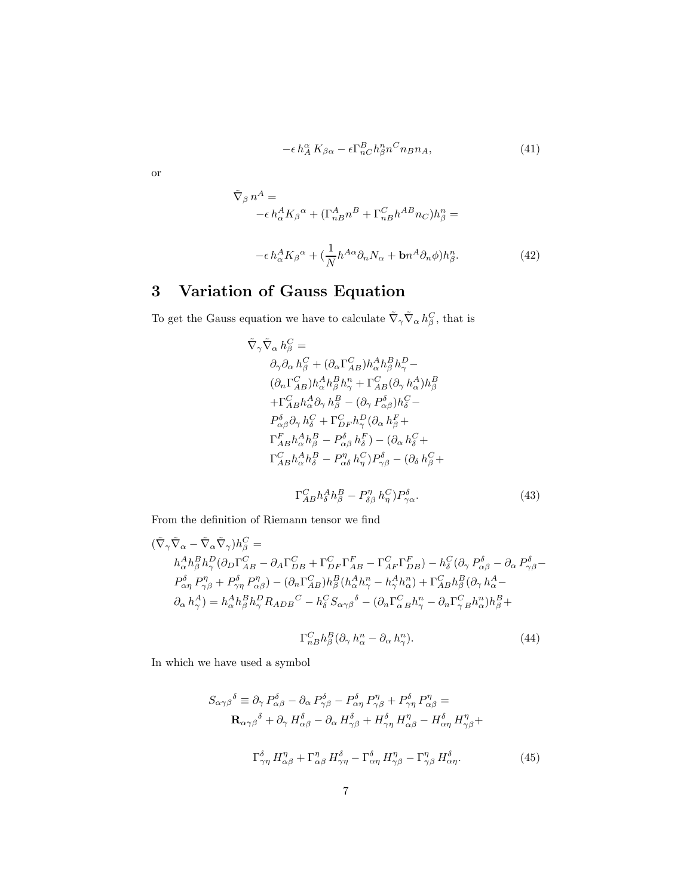$$
-\epsilon \, h_A^{\alpha} \, K_{\beta \alpha} - \epsilon \Gamma_{nC}^B h_{\beta}^n n^C n_B n_A,\tag{41}
$$

or

$$
\tilde{\nabla}_{\beta} n^{A} =
$$
\n
$$
- \epsilon h_{\alpha}^{A} K_{\beta}{}^{\alpha} + (\Gamma_{nB}^{A} n^{B} + \Gamma_{nB}^{C} h^{AB} n_{C}) h_{\beta}^{n} =
$$
\n
$$
- \epsilon h_{\alpha}^{A} K_{\beta}{}^{\alpha} + (\frac{1}{N} h^{A\alpha} \partial_{n} N_{\alpha} + \mathbf{b} n^{A} \partial_{n} \phi) h_{\beta}^{n}.
$$
\n(42)

# 3 Variation of Gauss Equation

To get the Gauss equation we have to calculate  $\tilde{\nabla}_{\gamma} \tilde{\nabla}_{\alpha} h_{\beta}^C$ , that is

$$
\tilde{\nabla}_{\gamma}\tilde{\nabla}_{\alpha}h_{\beta}^{C} = \n\partial_{\gamma}\partial_{\alpha}h_{\beta}^{C} + (\partial_{\alpha}\Gamma_{AB}^{C})h_{\alpha}^{A}h_{\beta}^{B}h_{\gamma}^{D} - \n(\partial_{n}\Gamma_{AB}^{C})h_{\alpha}^{A}h_{\beta}^{B}h_{\gamma}^{n} + \Gamma_{AB}^{C}(\partial_{\gamma}h_{\alpha}^{A})h_{\beta}^{B} \n+ \Gamma_{AB}^{C}h_{\alpha}^{A}\partial_{\gamma}h_{\beta}^{B} - (\partial_{\gamma}P_{\alpha\beta}^{\delta})h_{\delta}^{C} - \nP_{\alpha\beta}^{\delta}\partial_{\gamma}h_{\delta}^{C} + \Gamma_{DF}^{C}h_{\gamma}^{D}(\partial_{\alpha}h_{\beta}^{F} + \n\Gamma_{AB}^{F}h_{\alpha}^{A}h_{\beta}^{B} - P_{\alpha\beta}^{\delta}h_{\delta}^{F}) - (\partial_{\alpha}h_{\delta}^{C} + \n\Gamma_{AB}^{C}h_{\alpha}^{A}h_{\delta}^{B} - P_{\alpha\delta}^{m}h_{\gamma}^{C})P_{\gamma\beta}^{\delta} - (\partial_{\delta}h_{\beta}^{C} + \n\Gamma_{AB}^{C}h_{\delta}^{A}h_{\beta}^{B} - P_{\delta\beta}^{m}h_{\gamma}^{C})P_{\gamma\alpha}^{\delta}.
$$
\n(43)

From the definition of Riemann tensor we find

$$
\begin{split} (\tilde{\nabla}_{\gamma}\tilde{\nabla}_{\alpha}-\tilde{\nabla}_{\alpha}\tilde{\nabla}_{\gamma})h_{\beta}^{C} &= \\ h_{\alpha}^{A}h_{\beta}^{B}h_{\gamma}^{D}(\partial_{D}\Gamma_{AB}^{C}-\partial_{A}\Gamma_{DB}^{C}+\Gamma_{DF}^{C}\Gamma_{AB}^{F}-\Gamma_{AF}^{C}\Gamma_{DB}^{F})-h_{\delta}^{C}(\partial_{\gamma}P_{\alpha\beta}^{\delta}-\partial_{\alpha}P_{\gamma\beta}^{\delta}- \\ P_{\alpha\eta}^{\delta}P_{\gamma\beta}^{\eta}+P_{\gamma\eta}^{\delta}P_{\alpha\beta}^{\eta})-(\partial_{n}\Gamma_{AB}^{C})h_{\beta}^{B}(h_{\alpha}^{A}h_{\gamma}^{n}-h_{\gamma}^{A}h_{\alpha}^{n})+\Gamma_{AB}^{C}h_{\beta}^{B}(\partial_{\gamma}h_{\alpha}^{A}- \\ \partial_{\alpha}h_{\gamma}^{A})=h_{\alpha}^{A}h_{\beta}^{B}h_{\gamma}^{D}R_{ADB}^{C}-h_{\delta}^{C}S_{\alpha\gamma\beta}^{\delta}-(\partial_{n}\Gamma_{\alpha}^{C}{}_{B}h_{\gamma}^{n}-\partial_{n}\Gamma_{\gamma}^{C}{}_{B}h_{\alpha}^{n})h_{\beta}^{B}+ \end{split}
$$

$$
\Gamma_{nB}^C h_\beta^B (\partial_\gamma h_\alpha^n - \partial_\alpha h_\gamma^n). \tag{44}
$$

In which we have used a symbol

$$
S_{\alpha\gamma\beta}{}^{\delta} \equiv \partial_{\gamma} P^{\delta}_{\alpha\beta} - \partial_{\alpha} P^{\delta}_{\gamma\beta} - P^{\delta}_{\alpha\eta} P^{\eta}_{\gamma\beta} + P^{\delta}_{\gamma\eta} P^{\eta}_{\alpha\beta} =
$$
  

$$
\mathbf{R}_{\alpha\gamma\beta}{}^{\delta} + \partial_{\gamma} H^{\delta}_{\alpha\beta} - \partial_{\alpha} H^{\delta}_{\gamma\beta} + H^{\delta}_{\gamma\eta} H^{\eta}_{\alpha\beta} - H^{\delta}_{\alpha\eta} H^{\eta}_{\gamma\beta} +
$$
  

$$
\Gamma^{\delta}_{\gamma\eta} H^{\eta}_{\alpha\beta} + \Gamma^{\eta}_{\alpha\beta} H^{\delta}_{\gamma\eta} - \Gamma^{\delta}_{\alpha\eta} H^{\eta}_{\gamma\beta} - \Gamma^{\eta}_{\gamma\beta} H^{\delta}_{\alpha\eta}.
$$
 (45)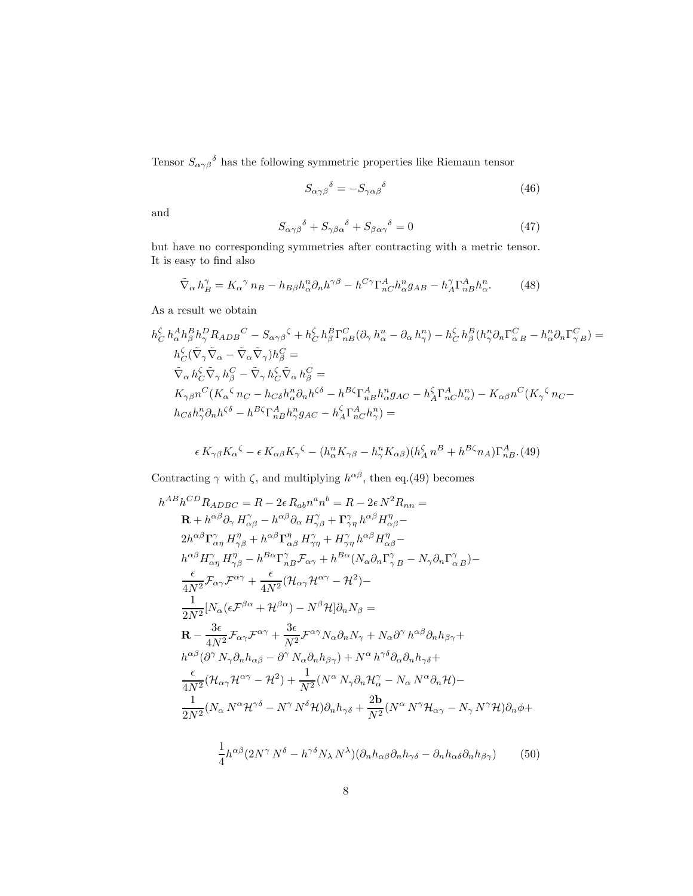Tensor  $S_{\alpha\gamma\beta}^{\delta}$  has the following symmetric properties like Riemann tensor

$$
S_{\alpha\gamma\beta}{}^{\delta} = -S_{\gamma\alpha\beta}{}^{\delta} \tag{46}
$$

and

$$
S_{\alpha\gamma\beta}{}^{\delta} + S_{\gamma\beta\alpha}{}^{\delta} + S_{\beta\alpha\gamma}{}^{\delta} = 0 \tag{47}
$$

but have no corresponding symmetries after contracting with a metric tensor. It is easy to find also

$$
\tilde{\nabla}_{\alpha} h_B^{\gamma} = K_{\alpha}{}^{\gamma} n_B - h_{B\beta} h_{\alpha}^n \partial_n h^{\gamma\beta} - h^{C\gamma} \Gamma_{nC}^A h_{\alpha}^n g_{AB} - h_A^{\gamma} \Gamma_{nB}^A h_{\alpha}^n. \tag{48}
$$

As a result we obtain

$$
h_C^{\zeta} h_{\alpha}^A h_{\beta}^B h_{\gamma}^D R_{ADB}{}^C - S_{\alpha\gamma\beta}{}^{\zeta} + h_C^{\zeta} h_{\beta}^B \Gamma_{nB}^C (\partial_{\gamma} h_{\alpha}^n - \partial_{\alpha} h_{\gamma}^n) - h_C^{\zeta} h_{\beta}^B (h_{\gamma}^n \partial_n \Gamma_{\alpha B}^C - h_{\alpha}^n \partial_n \Gamma_{\gamma B}^C) =
$$
  
\n
$$
h_C^{\zeta} (\tilde{\nabla}_{\gamma} \tilde{\nabla}_{\alpha} - \tilde{\nabla}_{\alpha} \tilde{\nabla}_{\gamma}) h_{\beta}^C =
$$
  
\n
$$
\tilde{\nabla}_{\alpha} h_C^{\zeta} \tilde{\nabla}_{\gamma} h_{\beta}^C - \tilde{\nabla}_{\gamma} h_C^{\zeta} \tilde{\nabla}_{\alpha} h_{\beta}^C =
$$
  
\n
$$
K_{\gamma\beta} n^C (K_{\alpha}{}^{\zeta} n_C - h_{C\delta} h_{\alpha}^n \partial_n h^{\zeta\delta} - h^{B\zeta} \Gamma_{nB}^A h_{\alpha}^n g_{AC} - h_{A}^{\zeta} \Gamma_{nC}^A h_{\alpha}^n) - K_{\alpha\beta} n^C (K_{\gamma}{}^{\zeta} n_C - h_{C\delta} h_{\gamma}^n \partial_n h^{\zeta\delta} - h^{B\zeta} \Gamma_{nB}^A h_{\gamma}^n g_{AC} - h_{A}^{\zeta} \Gamma_{nC}^A h_{\gamma}^n) =
$$

$$
\epsilon K_{\gamma\beta} K_{\alpha}{}^{\zeta} - \epsilon K_{\alpha\beta} K_{\gamma}{}^{\zeta} - (h_{\alpha}^n K_{\gamma\beta} - h_{\gamma}^n K_{\alpha\beta}) (h_A^{\zeta} n^B + h^{B\zeta} n_A) \Gamma_{nB}^A
$$
 (49)

Contracting  $\gamma$  with  $\zeta$ , and multiplying  $h^{\alpha\beta}$ , then eq.(49) becomes

$$
h^{AB}h^{CD}R_{ADBC} = R - 2\epsilon R_{ab}n^{a}n^{b} = R - 2\epsilon N^{2}R_{nn} =
$$
\n
$$
\mathbf{R} + h^{\alpha\beta}\partial_{\gamma} H^{\gamma}_{\alpha\beta} - h^{\alpha\beta}\partial_{\alpha} H^{\gamma}_{\gamma\beta} + \Gamma^{\gamma}_{\gamma\eta} h^{\alpha\beta} H^{\eta}_{\alpha\beta} -
$$
\n
$$
2h^{\alpha\beta}\Gamma^{\gamma}_{\alpha\eta} H^{\eta}_{\gamma\beta} + h^{\alpha\beta}\Gamma^{\eta}_{\alpha\beta} H^{\gamma}_{\gamma\eta} + H^{\gamma}_{\gamma\eta} h^{\alpha\beta} H^{\eta}_{\alpha\beta} -
$$
\n
$$
h^{\alpha\beta}H^{\gamma}_{\alpha\eta} H^{\eta}_{\gamma\beta} - h^{B\alpha}\Gamma^{\gamma}_{\alpha\beta}F_{\alpha\gamma} + h^{B\alpha}(N_{\alpha}\partial_{n}\Gamma^{\gamma}_{\gamma}B - N_{\gamma}\partial_{n}\Gamma^{\gamma}_{\alpha}B) -
$$
\n
$$
\frac{\epsilon}{4N^{2}}\mathcal{F}_{\alpha\gamma}\mathcal{F}^{\alpha\gamma} + \frac{\epsilon}{4N^{2}}(\mathcal{H}_{\alpha\gamma}\mathcal{H}^{\alpha\gamma} - \mathcal{H}^{2}) -
$$
\n
$$
\frac{1}{2N^{2}}[N_{\alpha}(\epsilon\mathcal{F}^{\beta\alpha} + \mathcal{H}^{\beta\alpha}) - N^{\beta}\mathcal{H}]\partial_{n}N_{\beta} =
$$
\n
$$
\mathbf{R} - \frac{3\epsilon}{4N^{2}}\mathcal{F}_{\alpha\gamma}\mathcal{F}^{\alpha\gamma} + \frac{3\epsilon}{N^{2}}\mathcal{F}^{\alpha\gamma}N_{\alpha}\partial_{n}N_{\gamma} + N_{\alpha}\partial^{\gamma}h^{\alpha\beta}\partial_{n}h_{\beta\gamma} +
$$
\n
$$
h^{\alpha\beta}(\partial^{\gamma}N_{\gamma}\partial_{n}h_{\alpha\beta} - \partial^{\gamma}N_{\alpha}\partial_{n}h_{\beta\gamma}) + N^{\alpha}h^{\gamma\delta}\partial_{\alpha}\partial_{n}h_{\gamma\delta} +
$$
\n
$$
\frac{\epsilon}{4N^{2}}(\mathcal{H}_{\alpha\gamma}\mathcal{H}^{\alpha\gamma} - \mathcal{H}^{
$$

$$
\frac{1}{4}h^{\alpha\beta}(2N^{\gamma}N^{\delta}-h^{\gamma\delta}N_{\lambda}N^{\lambda})(\partial_{n}h_{\alpha\beta}\partial_{n}h_{\gamma\delta}-\partial_{n}h_{\alpha\delta}\partial_{n}h_{\beta\gamma})
$$
(50)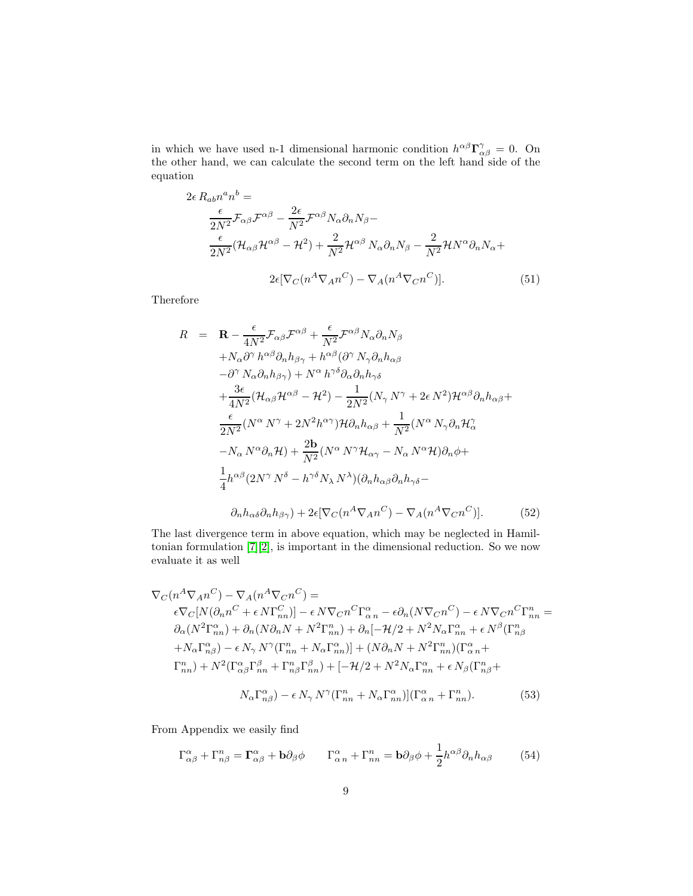in which we have used n-1 dimensional harmonic condition  $h^{\alpha\beta} \Gamma^{\gamma}_{\alpha\beta} = 0$ . On the other hand, we can calculate the second term on the left hand side of the equation

$$
2\epsilon R_{ab}n^{a}n^{b} =
$$
  
\n
$$
\frac{\epsilon}{2N^{2}}\mathcal{F}_{\alpha\beta}\mathcal{F}^{\alpha\beta} - \frac{2\epsilon}{N^{2}}\mathcal{F}^{\alpha\beta}N_{\alpha}\partial_{n}N_{\beta} -
$$
  
\n
$$
\frac{\epsilon}{2N^{2}}(\mathcal{H}_{\alpha\beta}\mathcal{H}^{\alpha\beta} - \mathcal{H}^{2}) + \frac{2}{N^{2}}\mathcal{H}^{\alpha\beta}N_{\alpha}\partial_{n}N_{\beta} - \frac{2}{N^{2}}\mathcal{H}N^{\alpha}\partial_{n}N_{\alpha} +
$$
  
\n
$$
2\epsilon[\nabla_{C}(n^{A}\nabla_{A}n^{C}) - \nabla_{A}(n^{A}\nabla_{C}n^{C})].
$$
\n(51)

Therefore

$$
R = \mathbf{R} - \frac{\epsilon}{4N^2} \mathcal{F}_{\alpha\beta} \mathcal{F}^{\alpha\beta} + \frac{\epsilon}{N^2} \mathcal{F}^{\alpha\beta} N_{\alpha} \partial_n N_{\beta}
$$
  
\n
$$
+ N_{\alpha} \partial^{\gamma} h^{\alpha\beta} \partial_n h_{\beta\gamma} + h^{\alpha\beta} (\partial^{\gamma} N_{\gamma} \partial_n h_{\alpha\beta})
$$
  
\n
$$
- \partial^{\gamma} N_{\alpha} \partial_n h_{\beta\gamma} + N^{\alpha} h^{\gamma\delta} \partial_{\alpha} \partial_n h_{\gamma\delta}
$$
  
\n
$$
+ \frac{3\epsilon}{4N^2} (\mathcal{H}_{\alpha\beta} \mathcal{H}^{\alpha\beta} - \mathcal{H}^2) - \frac{1}{2N^2} (N_{\gamma} N^{\gamma} + 2\epsilon N^2) \mathcal{H}^{\alpha\beta} \partial_n h_{\alpha\beta} + \frac{\epsilon}{2N^2} (N^{\alpha} N^{\gamma} + 2N^2 h^{\alpha\gamma}) \mathcal{H} \partial_n h_{\alpha\beta} + \frac{1}{N^2} (N^{\alpha} N_{\gamma} \partial_n \mathcal{H}_{\alpha}^{\gamma} - N_{\alpha} N^{\alpha} \partial_n \mathcal{H}) + \frac{2\mathbf{b}}{N^2} (N^{\alpha} N^{\gamma} \mathcal{H}_{\alpha\gamma} - N_{\alpha} N^{\alpha} \mathcal{H}) \partial_n \phi + \frac{1}{4} h^{\alpha\beta} (2N^{\gamma} N^{\delta} - h^{\gamma\delta} N_{\lambda} N^{\lambda}) (\partial_n h_{\alpha\beta} \partial_n h_{\gamma\delta} - \partial_n h_{\alpha\delta} \partial_n h_{\beta\gamma}) + 2\epsilon [\nabla_C (n^A \nabla_A n^C) - \nabla_A (n^A \nabla_C n^C)]. \qquad (52)
$$

The last divergence term in above equation, which may be neglected in Hamiltonian formulation [\[7\]](#page-16-6)[\[2\]](#page-16-1), is important in the dimensional reduction. So we now evaluate it as well

$$
\nabla_C(n^A \nabla_A n^C) - \nabla_A(n^A \nabla_C n^C) =
$$
  
\n
$$
\epsilon \nabla_C[N(\partial_n n^C + \epsilon N \Gamma_{nn}^C)] - \epsilon N \nabla_C n^C \Gamma_{\alpha n}^{\alpha} - \epsilon \partial_n (N \nabla_C n^C) - \epsilon N \nabla_C n^C \Gamma_{nn}^n =
$$
  
\n
$$
\partial_{\alpha} (N^2 \Gamma_{nn}^{\alpha}) + \partial_n (N \partial_n N + N^2 \Gamma_{nn}^n) + \partial_n [-\mathcal{H}/2 + N^2 N_{\alpha} \Gamma_{nn}^{\alpha} + \epsilon N^{\beta} (\Gamma_{n\beta}^n + N_{\alpha} \Gamma_{n\beta}^{\alpha}) - \epsilon N_{\gamma} N^{\gamma} (\Gamma_{nn}^n + N_{\alpha} \Gamma_{nn}^{\alpha})] + (N \partial_n N + N^2 \Gamma_{nn}^n) (\Gamma_{\alpha n}^{\alpha} +
$$
  
\n
$$
\Gamma_{nn}^n) + N^2 (\Gamma_{\alpha \beta}^{\alpha} \Gamma_{nn}^{\beta} + \Gamma_{n\beta}^n \Gamma_{nn}^{\beta}) + [-\mathcal{H}/2 + N^2 N_{\alpha} \Gamma_{nn}^{\alpha} + \epsilon N_{\beta} (\Gamma_{n\beta}^n +
$$
  
\n
$$
N_{\alpha} \Gamma_{n\beta}^{\alpha}) - \epsilon N_{\gamma} N^{\gamma} (\Gamma_{nn}^n + N_{\alpha} \Gamma_{nn}^{\alpha})] (\Gamma_{\alpha n}^{\alpha} + \Gamma_{nn}^n).
$$
 (53)

From Appendix we easily find

$$
\Gamma^{\alpha}_{\alpha\beta} + \Gamma^{n}_{n\beta} = \Gamma^{\alpha}_{\alpha\beta} + \mathbf{b}\partial_{\beta}\phi \qquad \Gamma^{\alpha}_{\alpha\,n} + \Gamma^{n}_{nn} = \mathbf{b}\partial_{\beta}\phi + \frac{1}{2}h^{\alpha\beta}\partial_{n}h_{\alpha\beta} \tag{54}
$$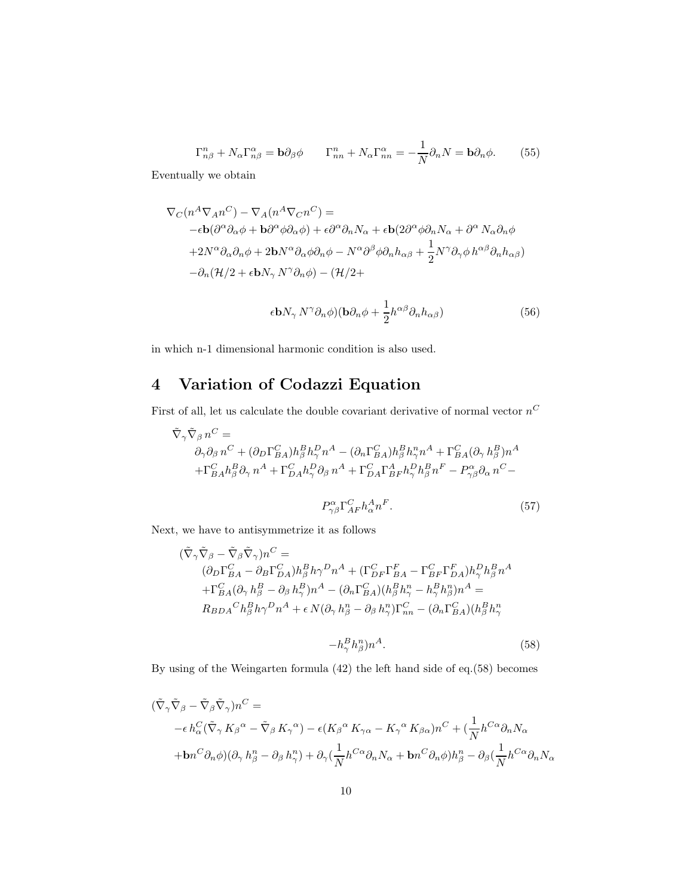$$
\Gamma_{n\beta}^{n} + N_{\alpha} \Gamma_{n\beta}^{\alpha} = \mathbf{b} \partial_{\beta} \phi \qquad \Gamma_{nn}^{n} + N_{\alpha} \Gamma_{nn}^{\alpha} = -\frac{1}{N} \partial_{n} N = \mathbf{b} \partial_{n} \phi. \tag{55}
$$

Eventually we obtain

$$
\nabla_C(n^A \nabla_A n^C) - \nabla_A(n^A \nabla_C n^C) =
$$
  
\n
$$
-\epsilon \mathbf{b}(\partial^{\alpha} \partial_{\alpha} \phi + \mathbf{b} \partial^{\alpha} \phi \partial_{\alpha} \phi) + \epsilon \partial^{\alpha} \partial_n N_{\alpha} + \epsilon \mathbf{b}(2\partial^{\alpha} \phi \partial_n N_{\alpha} + \partial^{\alpha} N_{\alpha} \partial_n \phi
$$
  
\n
$$
+ 2N^{\alpha} \partial_{\alpha} \partial_n \phi + 2\mathbf{b} N^{\alpha} \partial_{\alpha} \phi \partial_n \phi - N^{\alpha} \partial^{\beta} \phi \partial_n h_{\alpha \beta} + \frac{1}{2} N^{\gamma} \partial_{\gamma} \phi h^{\alpha \beta} \partial_n h_{\alpha \beta})
$$
  
\n
$$
- \partial_n (\mathcal{H}/2 + \epsilon \mathbf{b} N_{\gamma} N^{\gamma} \partial_n \phi) - (\mathcal{H}/2 +
$$

$$
\epsilon \mathbf{b} N_{\gamma} N^{\gamma} \partial_{n} \phi ) (\mathbf{b} \partial_{n} \phi + \frac{1}{2} h^{\alpha \beta} \partial_{n} h_{\alpha \beta}) \tag{56}
$$

in which n-1 dimensional harmonic condition is also used.

# 4 Variation of Codazzi Equation

First of all, let us calculate the double covariant derivative of normal vector  $n^C$ 

$$
\begin{split} \tilde{\nabla}_{\gamma}\tilde{\nabla}_{\beta}\,n^{C} & = \\ & \partial_{\gamma}\partial_{\beta}\,n^{C} + (\partial_{D}\Gamma^{C}_{BA})h^{B}_{\beta}h^{D}_{\gamma}\,n^{A} - (\partial_{n}\Gamma^{C}_{BA})h^{B}_{\beta}h^{n}_{\gamma}n^{A} + \Gamma^{C}_{BA}(\partial_{\gamma}\,h^{B}_{\beta})n^{A} \\ & + \Gamma^{C}_{BA}h^{B}_{\beta}\partial_{\gamma}\,n^{A} + \Gamma^{C}_{DA}h^{D}_{\gamma}\partial_{\beta}\,n^{A} + \Gamma^{C}_{DA}\Gamma^{A}_{BF}h^{D}_{\gamma}h^{B}_{\beta}n^{F} - P^{\alpha}_{\gamma\beta}\partial_{\alpha}\,n^{C} - \end{split}
$$

$$
P^{\alpha}_{\gamma\beta}\Gamma^{C}_{AF}h^{A}_{\alpha}n^{F}.
$$
\n(57)

Next, we have to antisymmetrize it as follows

$$
\begin{split} (\tilde{\nabla}_{\gamma}\tilde{\nabla}_{\beta} - \tilde{\nabla}_{\beta}\tilde{\nabla}_{\gamma})n^{C} & = \\ (\partial_{D}\Gamma^{C}_{BA} - \partial_{B}\Gamma^{C}_{DA})h^{B}_{\beta}h\gamma^{D}n^{A} + (\Gamma^{C}_{DF}\Gamma^{F}_{BA} - \Gamma^{C}_{BF}\Gamma^{F}_{DA})h^{D}_{\gamma}h^{B}_{\beta}n^{A} \\ & + \Gamma^{C}_{BA}(\partial_{\gamma}h^{B}_{\beta} - \partial_{\beta}h^{B}_{\gamma})n^{A} - (\partial_{n}\Gamma^{C}_{BA})(h^{B}_{\beta}h^{n}_{\gamma} - h^{B}_{\gamma}h^{n}_{\beta})n^{A} = \\ R_{BDA}{}^{C}h^{B}_{\beta}h\gamma^{D}n^{A} + \epsilon\,N(\partial_{\gamma}h^{n}_{\beta} - \partial_{\beta}h^{n}_{\gamma})\Gamma^{C}_{nn} - (\partial_{n}\Gamma^{C}_{BA})(h^{B}_{\beta}h^{n}_{\gamma} \end{split}
$$

$$
-h^B_\gamma h^n_\beta n^A. \tag{58}
$$

By using of the Weingarten formula (42) the left hand side of eq.(58) becomes

$$
\begin{split} (\tilde{\nabla}_{\gamma}\tilde{\nabla}_{\beta} - \tilde{\nabla}_{\beta}\tilde{\nabla}_{\gamma})n^{C} &= \\ &\quad -\epsilon \, h_{\alpha}^{C}(\tilde{\nabla}_{\gamma}\, K_{\beta}{}^{\alpha} - \tilde{\nabla}_{\beta}\, K_{\gamma}{}^{\alpha}) - \epsilon (K_{\beta}{}^{\alpha}\, K_{\gamma\alpha} - K_{\gamma}{}^{\alpha}\, K_{\beta\alpha})n^{C} + (\frac{1}{N}h^{C\alpha}\partial_{n}N_{\alpha} \\ &\quad + \mathbf{b}n^{C}\partial_{n}\phi)(\partial_{\gamma}\, h_{\beta}^{n} - \partial_{\beta}\, h_{\gamma}^{n}) + \partial_{\gamma}(\frac{1}{N}h^{C\alpha}\partial_{n}N_{\alpha} + \mathbf{b}n^{C}\partial_{n}\phi)h_{\beta}^{n} - \partial_{\beta}(\frac{1}{N}h^{C\alpha}\partial_{n}N_{\alpha} \end{split}
$$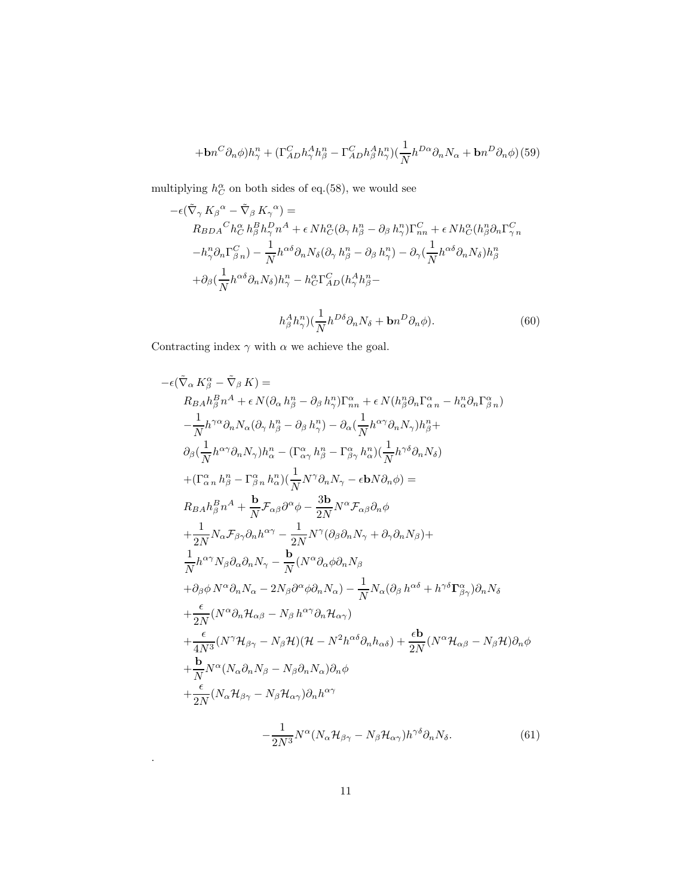$$
+bn^{C}\partial_{n}\phi)h_{\gamma}^{n} + (\Gamma_{AD}^{C}h_{\gamma}^{A}h_{\beta}^{n} - \Gamma_{AD}^{C}h_{\beta}^{A}h_{\gamma}^{n})(\frac{1}{N}h^{D\alpha}\partial_{n}N_{\alpha} + bn^{D}\partial_{n}\phi) (59)
$$

multiplying  $h_C^{\alpha}$  on both sides of eq.(58), we would see

$$
-\epsilon(\tilde{\nabla}_{\gamma} K_{\beta}{}^{\alpha} - \tilde{\nabla}_{\beta} K_{\gamma}{}^{\alpha}) =
$$
  
\n
$$
R_{BDA}{}^{C}h_{C}^{\alpha} h_{\beta}^{B}h_{\gamma}^{D}n^{A} + \epsilon N h_{C}^{\alpha} (\partial_{\gamma} h_{\beta}^{n} - \partial_{\beta} h_{\gamma}^{n}) \Gamma_{nn}^{C} + \epsilon N h_{C}^{\alpha} (h_{\beta}^{n} \partial_{n} \Gamma_{\gamma}^{C} n
$$
  
\n
$$
-h_{\gamma}^{n} \partial_{n} \Gamma_{\beta}^{C} n) - \frac{1}{N} h^{\alpha \delta} \partial_{n} N_{\delta} (\partial_{\gamma} h_{\beta}^{n} - \partial_{\beta} h_{\gamma}^{n}) - \partial_{\gamma} (\frac{1}{N} h^{\alpha \delta} \partial_{n} N_{\delta}) h_{\beta}^{n}
$$
  
\n
$$
+ \partial_{\beta} (\frac{1}{N} h^{\alpha \delta} \partial_{n} N_{\delta}) h_{\gamma}^{n} - h_{C}^{\alpha} \Gamma_{AD}^{C} (h_{\gamma}^{A} h_{\beta}^{n} - h_{\beta}^{A} h_{\gamma}^{n}) (\frac{1}{N} h^{D \delta} \partial_{n} N_{\delta} + \mathbf{b} n^{D} \partial_{n} \phi).
$$
 (60)

Contracting index  $\gamma$  with  $\alpha$  we achieve the goal.

$$
-\epsilon(\tilde{\nabla}_{\alpha} K^{\alpha}_{\beta} - \tilde{\nabla}_{\beta} K) =
$$
\n
$$
R_{BA}h^B_{\beta}n^A + \epsilon N(\partial_{\alpha} h^n_{\beta} - \partial_{\beta} h^n_{\gamma})\Gamma^{\alpha}_{nn} + \epsilon N(h^n_{\beta}\partial_n \Gamma^{\alpha}_{\alpha n} - h^n_{\alpha}\partial_n \Gamma^{\alpha}_{\beta n})
$$
\n
$$
- \frac{1}{N}h^{\gamma\alpha}\partial_n N_{\alpha}(\partial_{\gamma} h^n_{\beta} - \partial_{\beta} h^n_{\gamma}) - \partial_{\alpha}(\frac{1}{N}h^{\alpha\gamma}\partial_n N_{\gamma})h^n_{\beta} +
$$
\n
$$
\partial_{\beta}(\frac{1}{N}h^{\alpha\gamma}\partial_n N_{\gamma})h^n_{\alpha} - (\Gamma^{\alpha}_{\alpha\gamma} h^n_{\beta} - \Gamma^{\alpha}_{\beta\gamma} h^n_{\alpha})(\frac{1}{N}h^{\gamma\delta}\partial_n N_{\delta})
$$
\n
$$
+(\Gamma^{\alpha}_{\alpha n} h^n_{\beta} - \Gamma^{\alpha}_{\beta n} h^n_{\alpha})(\frac{1}{N}N^{\gamma}\partial_n N_{\gamma} - \epsilon N\partial_n \phi) =
$$
\n
$$
R_{BA}h^B_{\beta}n^A + \frac{b}{N}\mathcal{F}_{\alpha\beta}\partial^{\alpha}\phi - \frac{3b}{2N}N^{\alpha}\mathcal{F}_{\alpha\beta}\partial_n \phi
$$
\n
$$
+\frac{1}{2N}N_{\alpha}\mathcal{F}_{\beta\gamma}\partial_n h^{\alpha\gamma} - \frac{1}{2N}N^{\gamma}(\partial_{\beta}\partial_n N_{\gamma} + \partial_{\gamma}\partial_n N_{\beta}) +
$$
\n
$$
\frac{1}{N}h^{\alpha\gamma}N_{\beta}\partial_{\alpha}\partial_n N_{\gamma} - \frac{b}{N}(N^{\alpha}\partial_{\alpha}\phi\partial_n N_{\beta})
$$
\n
$$
+\partial_{\beta}\phi N^{\alpha}\partial_n N_{\alpha} - 2N_{\beta}\partial^{\alpha}\phi\partial_n N_{\alpha}) - \frac{1}{N}N_{\alpha}(\partial_{\beta} h^{\alpha\delta} + h^{\gamma\delta}\Gamma^{\alpha}_{\beta\gamma})\partial_n N_{\delta}
$$
\n
$$
+\frac{\epsilon}{
$$

.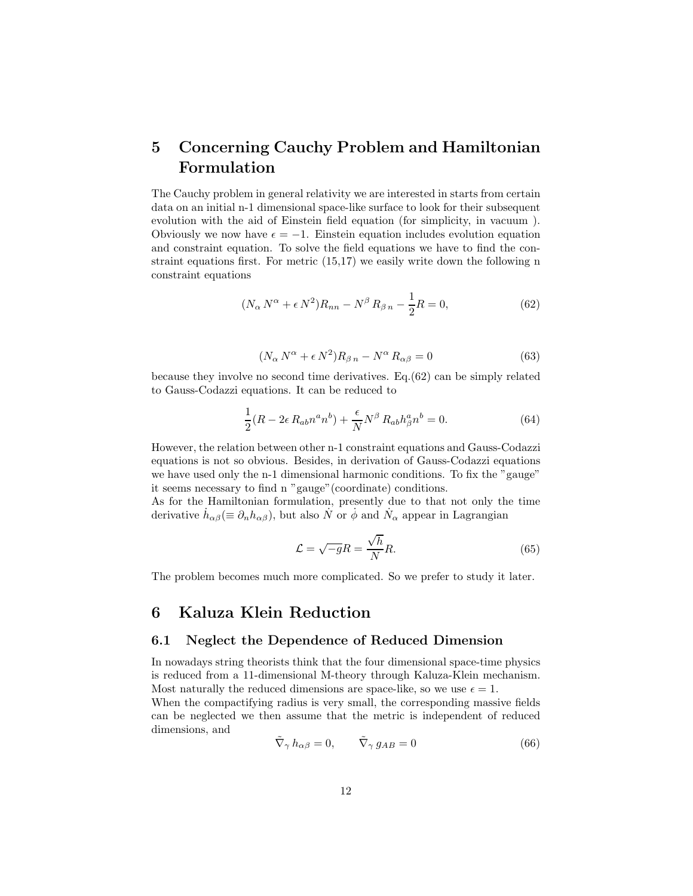# 5 Concerning Cauchy Problem and Hamiltonian Formulation

The Cauchy problem in general relativity we are interested in starts from certain data on an initial n-1 dimensional space-like surface to look for their subsequent evolution with the aid of Einstein field equation (for simplicity, in vacuum ). Obviously we now have  $\epsilon = -1$ . Einstein equation includes evolution equation and constraint equation. To solve the field equations we have to find the constraint equations first. For metric (15,17) we easily write down the following n constraint equations

$$
(N_{\alpha} N^{\alpha} + \epsilon N^2)R_{nn} - N^{\beta} R_{\beta n} - \frac{1}{2}R = 0,
$$
\n
$$
(62)
$$

$$
(N_{\alpha} N^{\alpha} + \epsilon N^2) R_{\beta n} - N^{\alpha} R_{\alpha \beta} = 0
$$
\n(63)

because they involve no second time derivatives. Eq.(62) can be simply related to Gauss-Codazzi equations. It can be reduced to

$$
\frac{1}{2}(R - 2\epsilon R_{ab}n^a n^b) + \frac{\epsilon}{N}N^{\beta} R_{ab}h^a_{\beta}n^b = 0.
$$
 (64)

However, the relation between other n-1 constraint equations and Gauss-Codazzi equations is not so obvious. Besides, in derivation of Gauss-Codazzi equations we have used only the n-1 dimensional harmonic conditions. To fix the "gauge" it seems necessary to find n "gauge"(coordinate) conditions.

As for the Hamiltonian formulation, presently due to that not only the time derivative  $\dot{h}_{\alpha\beta} (\equiv \partial_n h_{\alpha\beta})$ , but also  $\dot{N}$  or  $\dot{\phi}$  and  $\dot{N}_{\alpha}$  appear in Lagrangian

$$
\mathcal{L} = \sqrt{-g}R = \frac{\sqrt{h}}{N}R.\tag{65}
$$

The problem becomes much more complicated. So we prefer to study it later.

## 6 Kaluza Klein Reduction

### 6.1 Neglect the Dependence of Reduced Dimension

In nowadays string theorists think that the four dimensional space-time physics is reduced from a 11-dimensional M-theory through Kaluza-Klein mechanism. Most naturally the reduced dimensions are space-like, so we use  $\epsilon = 1$ .

When the compactifying radius is very small, the corresponding massive fields can be neglected we then assume that the metric is independent of reduced dimensions, and

$$
\tilde{\nabla}_{\gamma} h_{\alpha\beta} = 0, \qquad \tilde{\nabla}_{\gamma} g_{AB} = 0 \tag{66}
$$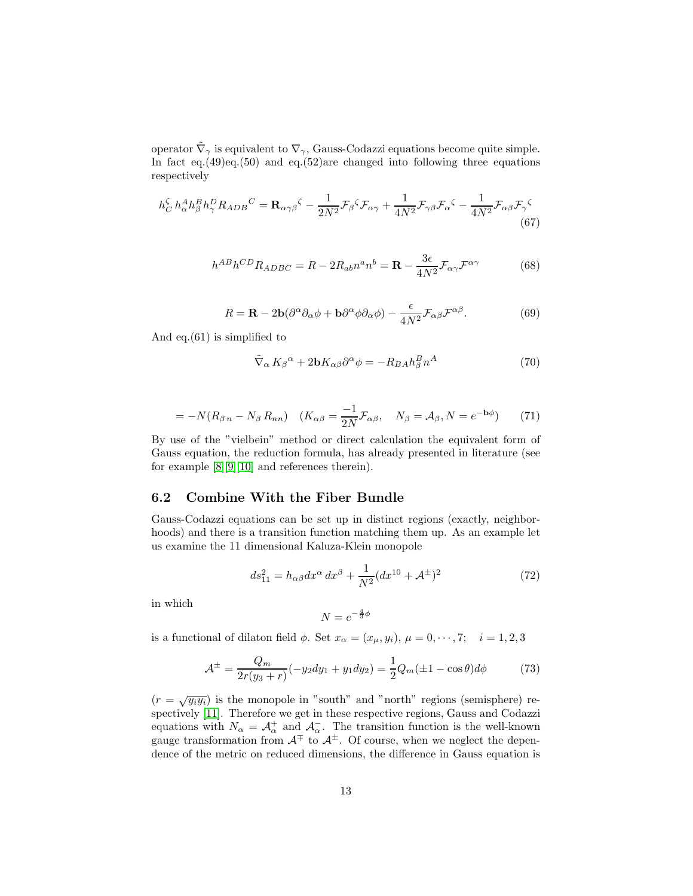operator  $\tilde{\nabla}_{\gamma}$  is equivalent to  $\nabla_{\gamma}$ , Gauss-Codazzi equations become quite simple. In fact eq.(49)eq.(50) and eq.(52)are changed into following three equations respectively

$$
h_C^{\zeta} h_\alpha^A h_\beta^B h_\gamma^D R_{ADB}{}^C = \mathbf{R}_{\alpha\gamma\beta}{}^{\zeta} - \frac{1}{2N^2} \mathcal{F}_\beta{}^{\zeta} \mathcal{F}_{\alpha\gamma} + \frac{1}{4N^2} \mathcal{F}_{\gamma\beta} \mathcal{F}_\alpha{}^{\zeta} - \frac{1}{4N^2} \mathcal{F}_{\alpha\beta} \mathcal{F}_\gamma{}^{\zeta}
$$
(67)

$$
h^{AB}h^{CD}R_{ADBC} = R - 2R_{ab}n^a n^b = \mathbf{R} - \frac{3\epsilon}{4N^2} \mathcal{F}_{\alpha\gamma} \mathcal{F}^{\alpha\gamma}
$$
(68)

$$
R = \mathbf{R} - 2\mathbf{b}(\partial^{\alpha}\partial_{\alpha}\phi + \mathbf{b}\partial^{\alpha}\phi\partial_{\alpha}\phi) - \frac{\epsilon}{4N^2} \mathcal{F}_{\alpha\beta} \mathcal{F}^{\alpha\beta}.
$$
 (69)

And eq.(61) is simplified to

$$
\tilde{\nabla}_{\alpha} K_{\beta}{}^{\alpha} + 2\mathbf{b} K_{\alpha\beta} \partial^{\alpha} \phi = -R_{BA} h_{\beta}^{B} n^{A}
$$
\n(70)

$$
= -N(R_{\beta n} - N_{\beta} R_{nn}) \quad (K_{\alpha\beta} = \frac{-1}{2N} \mathcal{F}_{\alpha\beta}, \quad N_{\beta} = \mathcal{A}_{\beta}, N = e^{-\mathbf{b}\phi}) \tag{71}
$$

By use of the "vielbein" method or direct calculation the equivalent form of Gauss equation, the reduction formula, has already presented in literature (see for example [\[8\]](#page-17-0)[\[9\]](#page-17-1)[\[10\]](#page-17-2) and references therein).

### 6.2 Combine With the Fiber Bundle

Gauss-Codazzi equations can be set up in distinct regions (exactly, neighborhoods) and there is a transition function matching them up. As an example let us examine the 11 dimensional Kaluza-Klein monopole

$$
ds_{11}^2 = h_{\alpha\beta} dx^{\alpha} dx^{\beta} + \frac{1}{N^2} (dx^{10} + A^{\pm})^2
$$
 (72)

in which

$$
N = e^{-\frac{4}{3}\phi}
$$

is a functional of dilaton field  $\phi$ . Set  $x_{\alpha} = (x_{\mu}, y_i)$ ,  $\mu = 0, \dots, 7; i = 1, 2, 3$ 

$$
\mathcal{A}^{\pm} = \frac{Q_m}{2r(y_3+r)}(-y_2dy_1 + y_1dy_2) = \frac{1}{2}Q_m(\pm 1 - \cos\theta)d\phi \tag{73}
$$

 $(r = \sqrt{y_i y_i})$  is the monopole in "south" and "north" regions (semisphere) respectively [\[11\]](#page-17-3). Therefore we get in these respective regions, Gauss and Codazzi equations with  $N_{\alpha} = \mathcal{A}_{\alpha}^{+}$  and  $\mathcal{A}_{\alpha}^{-}$ . The transition function is the well-known gauge transformation from  $A^{\pm}$  to  $A^{\pm}$ . Of course, when we neglect the dependence of the metric on reduced dimensions, the difference in Gauss equation is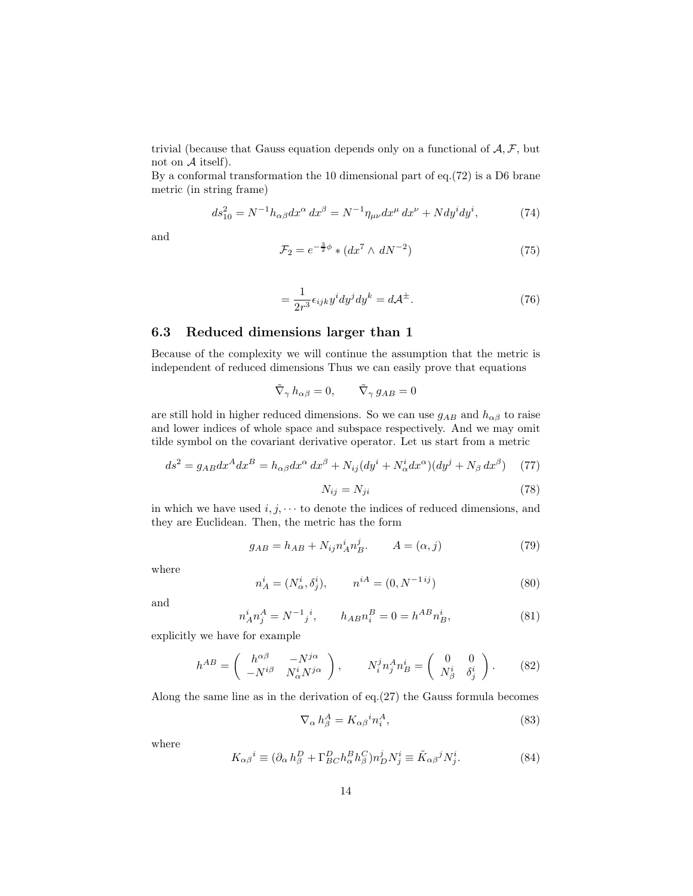trivial (because that Gauss equation depends only on a functional of  $A, F$ , but not on  $A$  itself).

By a conformal transformation the 10 dimensional part of eq.(72) is a D6 brane metric (in string frame)

$$
ds_{10}^{2} = N^{-1}h_{\alpha\beta}dx^{\alpha} dx^{\beta} = N^{-1}\eta_{\mu\nu}dx^{\mu} dx^{\nu} + Ndy^{i}dy^{i},
$$
 (74)

and

$$
\mathcal{F}_2 = e^{-\frac{3}{2}\phi} * (dx^7 \wedge dN^{-2})
$$
\n(75)

$$
=\frac{1}{2r^3}\epsilon_{ijk}y^i dy^j dy^k = d\mathcal{A}^{\pm}.
$$
\n(76)

### 6.3 Reduced dimensions larger than 1

Because of the complexity we will continue the assumption that the metric is independent of reduced dimensions Thus we can easily prove that equations

$$
\tilde{\nabla}_{\gamma} h_{\alpha\beta} = 0, \qquad \tilde{\nabla}_{\gamma} g_{AB} = 0
$$

are still hold in higher reduced dimensions. So we can use  $g_{AB}$  and  $h_{\alpha\beta}$  to raise and lower indices of whole space and subspace respectively. And we may omit tilde symbol on the covariant derivative operator. Let us start from a metric

$$
ds^{2} = g_{AB}dx^{A}dx^{B} = h_{\alpha\beta}dx^{\alpha} dx^{\beta} + N_{ij}(dy^{i} + N_{\alpha}^{i}dx^{\alpha})(dy^{j} + N_{\beta} dx^{\beta})
$$
 (77)

$$
N_{ij} = N_{ji} \tag{78}
$$

in which we have used  $i, j, \dots$  to denote the indices of reduced dimensions, and they are Euclidean. Then, the metric has the form

$$
g_{AB} = h_{AB} + N_{ij} n_A^i n_B^j. \qquad A = (\alpha, j)
$$
\n(79)

where

$$
n_A^i = (N_\alpha^i, \delta_j^i), \qquad n^{iA} = (0, N^{-1\,ij})
$$
\n(80)

and

$$
n_A^i n_j^A = N^{-1} j^i, \qquad h_{AB} n_i^B = 0 = h^{AB} n_B^i,
$$
\n(81)

explicitly we have for example

$$
h^{AB} = \begin{pmatrix} h^{\alpha\beta} & -N^{j\alpha} \\ -N^{i\beta} & N^i_{\alpha}N^{j\alpha} \end{pmatrix}, \qquad N^j_i n^A_j n^i_B = \begin{pmatrix} 0 & 0 \\ N^i_{\beta} & \delta^i_j \end{pmatrix}.
$$
 (82)

Along the same line as in the derivation of eq.(27) the Gauss formula becomes

$$
\nabla_{\alpha} h_{\beta}^A = K_{\alpha\beta}{}^i n_i^A,\tag{83}
$$

where

$$
K_{\alpha\beta}{}^{i} \equiv (\partial_{\alpha} h_{\beta}^{D} + \Gamma_{BC}^{D} h_{\alpha}^{B} h_{\beta}^{C}) n_{D}^{j} N_{j}^{i} \equiv \tilde{K}_{\alpha\beta}{}^{j} N_{j}^{i}.
$$
 (84)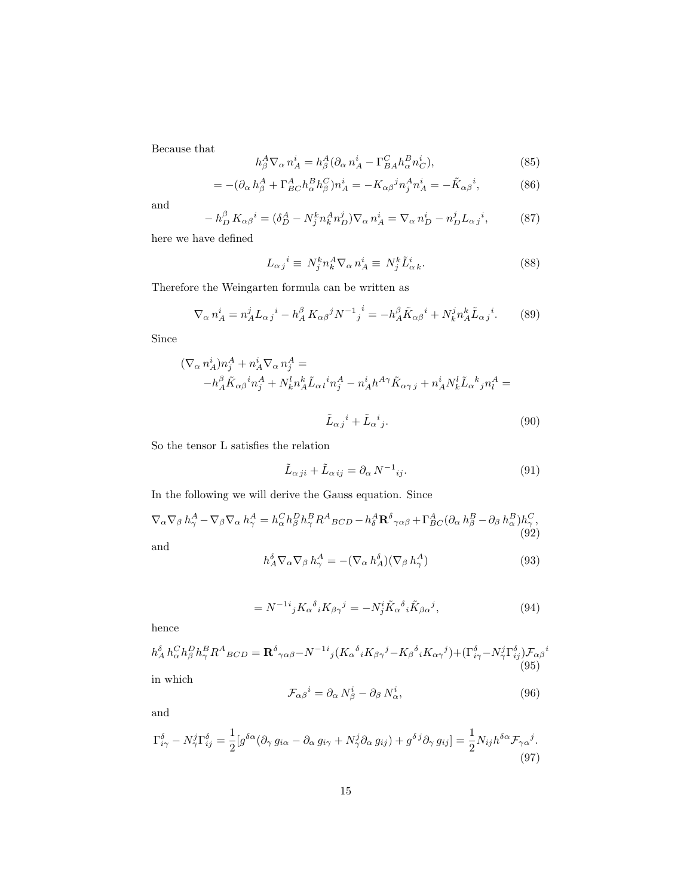Because that

$$
h_{\beta}^{A} \nabla_{\alpha} n_{A}^{i} = h_{\beta}^{A} (\partial_{\alpha} n_{A}^{i} - \Gamma_{BA}^{C} h_{\alpha}^{B} n_{C}^{i}), \qquad (85)
$$

$$
= -(\partial_{\alpha} h_{\beta}^A + \Gamma_{BC}^A h_{\alpha}^B h_{\beta}^C) n_A^i = -K_{\alpha\beta}^j n_j^A n_A^i = -\tilde{K}_{\alpha\beta}^i, \tag{86}
$$

and

$$
-h_D^{\beta} K_{\alpha\beta}{}^{i} = (\delta_D^A - N_j^k n_k^A n_D^j) \nabla_{\alpha} n_A^i = \nabla_{\alpha} n_D^i - n_D^j L_{\alpha j}{}^{i},\tag{87}
$$

here we have defined

$$
L_{\alpha j}{}^{i} \equiv N_{j}^{k} n_{k}^{A} \nabla_{\alpha} n_{A}^{i} \equiv N_{j}^{k} \tilde{L}_{\alpha k}^{i}.
$$
 (88)

Therefore the Weingarten formula can be written as

$$
\nabla_{\alpha} n_A^i = n_A^j L_{\alpha j}{}^i - h_A^{\beta} K_{\alpha \beta}{}^j N^{-1}{}_j{}^i = -h_A^{\beta} \tilde{K}_{\alpha \beta}{}^i + N_k^j n_A^k \tilde{L}_{\alpha j}{}^i. \tag{89}
$$

Since

$$
\begin{aligned} (\nabla_\alpha \, n_A^i) n_j^A + n_A^i \nabla_\alpha \, n_j^A &= \\ - h_A^{\beta} \tilde{K}_{\alpha\beta}{}^i n_j^A + N_k^l n_A^k \tilde{L}_{\alpha\beta}{}^i n_j^A - n_A^i h^{A\gamma} \tilde{K}_{\alpha\gamma\,j} + n_A^i N_k^l \tilde{L}_{\alpha}{}^k{}_j n_l^A &= \\ \end{aligned}
$$

$$
\tilde{L}_{\alpha j}{}^{i} + \tilde{L}_{\alpha}{}^{i}{}_{j}.
$$
\n(90)

So the tensor L satisfies the relation

$$
\tilde{L}_{\alpha\,ji} + \tilde{L}_{\alpha\,ij} = \partial_{\alpha}\,N^{-1}_{ij}.\tag{91}
$$

In the following we will derive the Gauss equation. Since

$$
\nabla_{\alpha}\nabla_{\beta} h_{\gamma}^{A} - \nabla_{\beta}\nabla_{\alpha} h_{\gamma}^{A} = h_{\alpha}^{C}h_{\beta}^{D}h_{\gamma}^{B}R^{A}{}_{BCD} - h_{\delta}^{A}\mathbf{R}^{\delta}{}_{\gamma\alpha\beta} + \Gamma_{BC}^{A}(\partial_{\alpha} h_{\beta}^{B} - \partial_{\beta} h_{\alpha}^{B})h_{\gamma}^{C},
$$
\n(92)

and

$$
h_A^{\delta} \nabla_{\alpha} \nabla_{\beta} h_{\gamma}^A = -(\nabla_{\alpha} h_A^{\delta})(\nabla_{\beta} h_{\gamma}^A)
$$
\n(93)

$$
=N^{-1}{}^{i}{}_{j}K_{\alpha}{}^{\delta}{}_{i}K_{\beta\gamma}{}^{j}=-N^{i}_{j}\tilde{K}_{\alpha}{}^{\delta}{}_{i}\tilde{K}_{\beta\alpha}{}^{j},\tag{94}
$$

hence

$$
h_A^{\delta} h_{\alpha}^C h_{\beta}^D h_{\gamma}^B R^A{}_{BCD} = \mathbf{R}^{\delta}{}_{\gamma\alpha\beta} - N^{-1}{}^{i}{}_{j} (K_{\alpha}{}^{\delta}{}_{i} K_{\beta\gamma}{}^{j} - K_{\beta}{}^{\delta}{}_{i} K_{\alpha\gamma}{}^{j}) + (\Gamma^{\delta}{}_{i\gamma} - N^j_{\gamma} \Gamma^{\delta}{}_{ij}) \mathcal{F}_{\alpha\beta}{}^{i} (95)
$$
 in which

$$
\mathcal{F}_{\alpha\beta}{}^{i} = \partial_{\alpha} N_{\beta}^{i} - \partial_{\beta} N_{\alpha}^{i},\tag{96}
$$

and

$$
\Gamma^{\delta}_{i\gamma} - N^j_{\gamma} \Gamma^{\delta}_{ij} = \frac{1}{2} [g^{\delta\alpha} (\partial_{\gamma} g_{i\alpha} - \partial_{\alpha} g_{i\gamma} + N^j_{\gamma} \partial_{\alpha} g_{ij}) + g^{\delta j} \partial_{\gamma} g_{ij}] = \frac{1}{2} N_{ij} h^{\delta\alpha} \mathcal{F}_{\gamma\alpha}{}^{j}.
$$
\n(97)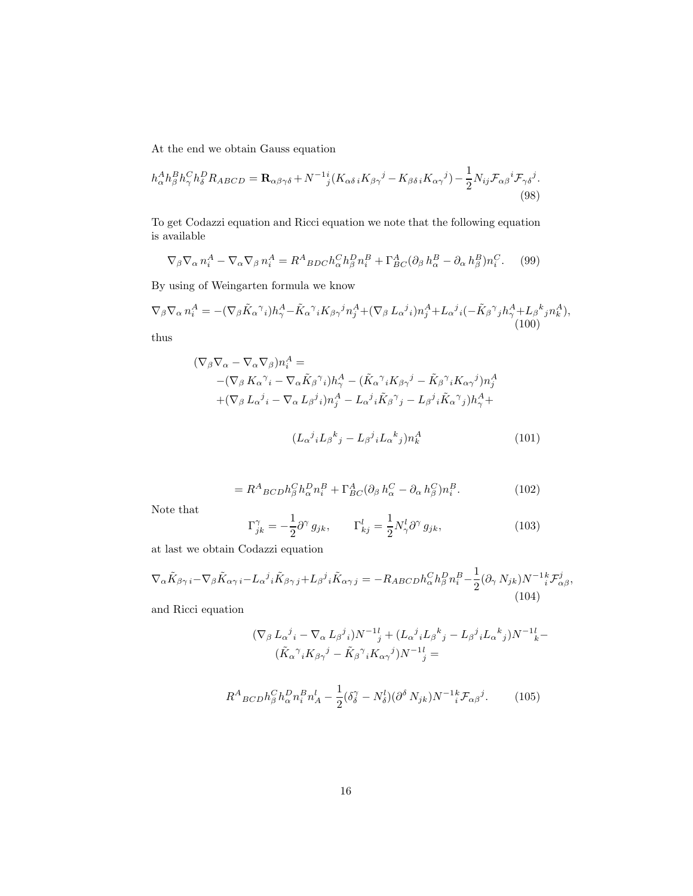At the end we obtain Gauss equation

$$
h_{\alpha}^{A}h_{\beta}^{B}h_{\gamma}^{C}h_{\delta}^{D}R_{ABCD} = \mathbf{R}_{\alpha\beta\gamma\delta} + N^{-1}i(K_{\alpha\delta i}K_{\beta\gamma}^{j} - K_{\beta\delta i}K_{\alpha\gamma}^{j}) - \frac{1}{2}N_{ij}\mathcal{F}_{\alpha\beta}^{i}\mathcal{F}_{\gamma\delta}^{j}.
$$
\n(98)

To get Codazzi equation and Ricci equation we note that the following equation is available

$$
\nabla_{\beta}\nabla_{\alpha}n_i^A - \nabla_{\alpha}\nabla_{\beta}n_i^A = R^A{}_{BDC}h_{\alpha}^C h_{\beta}^D n_i^B + \Gamma^A_{BC}(\partial_{\beta}h_{\alpha}^B - \partial_{\alpha}h_{\beta}^B)n_i^C.
$$
 (99)

By using of Weingarten formula we know

$$
\nabla_{\beta}\nabla_{\alpha}n_i^A = -(\nabla_{\beta}\tilde{K}_{\alpha}^{\ \gamma}i)h_{\gamma}^A - \tilde{K}_{\alpha}^{\ \gamma}iK_{\beta\gamma}^{\ \ j}n_j^A + (\nabla_{\beta}L_{\alpha}^{\ \ j}i)n_j^A + L_{\alpha}^{\ \ j}i(-\tilde{K}_{\beta}^{\ \gamma}jh_{\gamma}^A + L_{\beta}^{\ \ k}jn_k^A),
$$
\n(100)

thus

$$
(\nabla_{\beta}\nabla_{\alpha} - \nabla_{\alpha}\nabla_{\beta})n_{i}^{A} =
$$
  
-( $\nabla_{\beta} K_{\alpha} \gamma_{i} - \nabla_{\alpha} \tilde{K}_{\beta} \gamma_{i})h_{\gamma}^{A} - (\tilde{K}_{\alpha} \gamma_{i} K_{\beta \gamma} \gamma_{i} - \tilde{K}_{\beta} \gamma_{i} K_{\alpha \gamma} \gamma_{i})n_{j}^{A}$   
+(\nabla\_{\beta} L\_{\alpha} \gamma\_{i} - \nabla\_{\alpha} L\_{\beta} \gamma\_{i})n\_{j}^{A} - L\_{\alpha} \gamma\_{i} \tilde{K}\_{\beta} \gamma\_{j} - L\_{\beta} \gamma\_{i} \tilde{K}\_{\alpha} \gamma\_{j})h\_{\gamma}^{A} +  
(L\_{\alpha} \gamma\_{i} L\_{\beta} \gamma\_{j} - L\_{\beta} \gamma\_{i} L\_{\alpha} \gamma\_{j})n\_{k}^{A}(101)

$$
=R^{A}{}_{BCD}h_{\beta}^{C}h_{\alpha}^{D}n_{i}^{B}+\Gamma_{BC}^{A}(\partial_{\beta}h_{\alpha}^{C}-\partial_{\alpha}h_{\beta}^{C})n_{i}^{B}.
$$
 (102)

Note that

$$
\Gamma_{jk}^{\gamma} = -\frac{1}{2}\partial^{\gamma} g_{jk}, \qquad \Gamma_{kj}^{l} = \frac{1}{2}N_{\gamma}^{l}\partial^{\gamma} g_{jk}, \qquad (103)
$$

at last we obtain Codazzi equation

$$
\nabla_{\alpha}\tilde{K}_{\beta\gamma i} - \nabla_{\beta}\tilde{K}_{\alpha\gamma i} - L_{\alpha}{}^{j}{}_{i}\tilde{K}_{\beta\gamma j} + L_{\beta}{}^{j}{}_{i}\tilde{K}_{\alpha\gamma j} = -R_{ABCD}h_{\alpha}^{C}h_{\beta}^{D}n_{i}^{B} - \frac{1}{2}(\partial_{\gamma}N_{jk})N^{-1}{}_{i}^{k}\mathcal{F}_{\alpha\beta}^{j},\tag{104}
$$

and Ricci equation

$$
(\nabla_{\beta} L_{\alpha}^{\ j}i - \nabla_{\alpha} L_{\beta}^{\ j}i)N^{-1}{}_{j}^{l} + (L_{\alpha}^{\ j}iL_{\beta}^{\ k}j - L_{\beta}^{\ j}iL_{\alpha}^{\ k}j)N^{-1}{}_{k}^{l} - (\tilde{K}_{\alpha}^{\ \gamma}iK_{\beta\gamma}^{\ \ j} - \tilde{K}_{\beta}^{\ \gamma}iK_{\alpha\gamma}^{\ \ j})N^{-1}{}_{j}^{l} =
$$

$$
R^{A}{}_{BCD}h^C_{\beta}h^D_{\alpha}n^B_i n^l_A - \frac{1}{2}(\delta^{\gamma}_{\delta} - N^l_{\delta})(\partial^{\delta} N_{jk})N^{-1}{}^k_i \mathcal{F}_{\alpha\beta}{}^j. \tag{105}
$$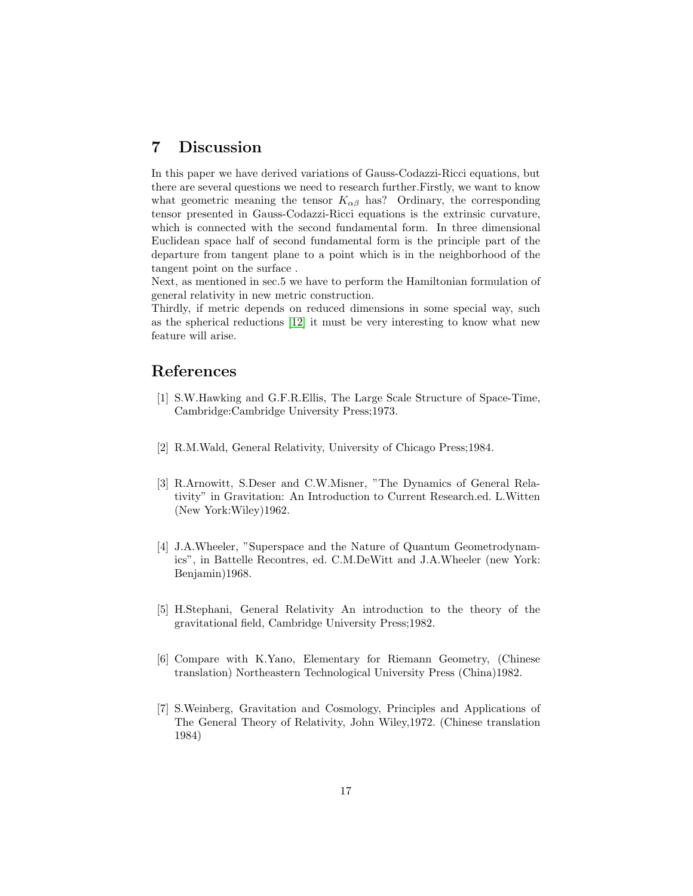## 7 Discussion

In this paper we have derived variations of Gauss-Codazzi-Ricci equations, but there are several questions we need to research further.Firstly, we want to know what geometric meaning the tensor  $K_{\alpha\beta}$  has? Ordinary, the corresponding tensor presented in Gauss-Codazzi-Ricci equations is the extrinsic curvature, which is connected with the second fundamental form. In three dimensional Euclidean space half of second fundamental form is the principle part of the departure from tangent plane to a point which is in the neighborhood of the tangent point on the surface .

Next, as mentioned in sec.5 we have to perform the Hamiltonian formulation of general relativity in new metric construction.

Thirdly, if metric depends on reduced dimensions in some special way, such as the spherical reductions [\[12\]](#page-17-4) it must be very interesting to know what new feature will arise.

# <span id="page-16-0"></span>References

- [1] S.W.Hawking and G.F.R.Ellis, The Large Scale Structure of Space-Time, Cambridge:Cambridge University Press;1973.
- <span id="page-16-2"></span><span id="page-16-1"></span>[2] R.M.Wald, General Relativity, University of Chicago Press;1984.
- [3] R.Arnowitt, S.Deser and C.W.Misner, "The Dynamics of General Relativity" in Gravitation: An Introduction to Current Research.ed. L.Witten (New York:Wiley)1962.
- <span id="page-16-3"></span>[4] J.A.Wheeler, "Superspace and the Nature of Quantum Geometrodynamics", in Battelle Recontres, ed. C.M.DeWitt and J.A.Wheeler (new York: Benjamin)1968.
- <span id="page-16-4"></span>[5] H.Stephani, General Relativity An introduction to the theory of the gravitational field, Cambridge University Press;1982.
- <span id="page-16-5"></span>[6] Compare with K.Yano, Elementary for Riemann Geometry, (Chinese translation) Northeastern Technological University Press (China)1982.
- <span id="page-16-6"></span>[7] S.Weinberg, Gravitation and Cosmology, Principles and Applications of The General Theory of Relativity, John Wiley,1972. (Chinese translation 1984)